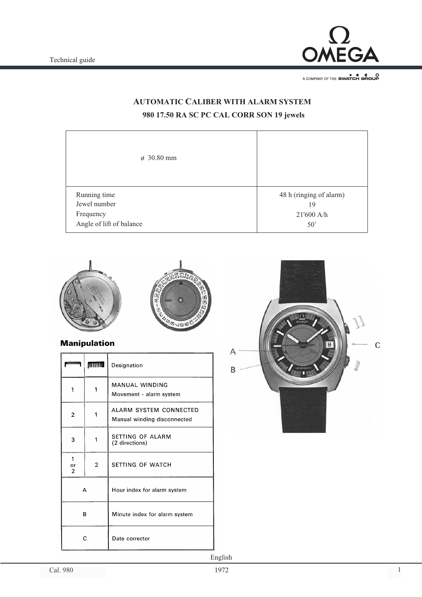

A COMPANY OF THE SWATCH GROUP

## **AUTOMATIC CALIBER WITH ALARM SYSTEM 980 17.50 RA SC PC CAL CORR SON 19 jewels**

| $\phi$ 30.80 mm          |                         |
|--------------------------|-------------------------|
| Running time             | 48 h (ringing of alarm) |
| Jewel number             | 19                      |
| Frequency                | 21'600 A/h              |
| Angle of lift of balance | $50^{\circ}$            |



### **Manipulation**

|                           | mm | Designation                                           |
|---------------------------|----|-------------------------------------------------------|
| 1                         | 1  | MANUAL WINDING<br>Movement - alarm system             |
| $\overline{2}$            | 1  | ALARM SYSTEM CONNECTED<br>Manual winding disconnected |
| 3                         | 1  | SETTING OF ALARM<br>(2 directions)                    |
| 1<br>or<br>$\overline{2}$ | 2  | SETTING OF WATCH                                      |
| А                         |    | Hour index for alarm system                           |
| в                         |    | Minute index for alarm system                         |
| C                         |    | Date corrector                                        |

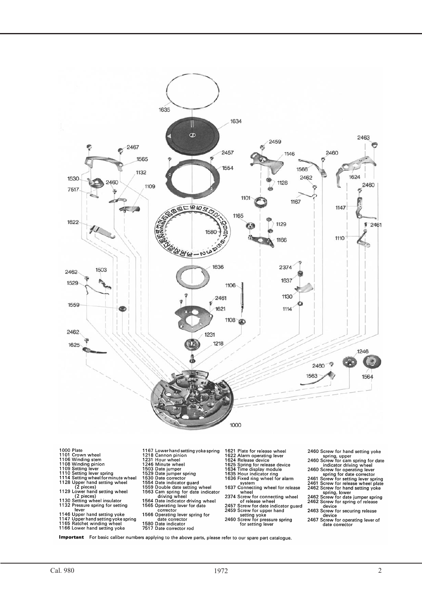

- lever<br>1146 Upper hand setting yoke<br>1147 Upper hand setting yoke spring<br>1165 Ratchet winding wheel<br>1166 Lower hand setting yoke
- 
- 
- 
- 
- 
- 
- 
- 
- Screw for securing release<br>device<br>2467 Screw for operating lever of
	- date corrector

Important For basic caliber numbers applying to the above parts, please refer to our spare part catalogue.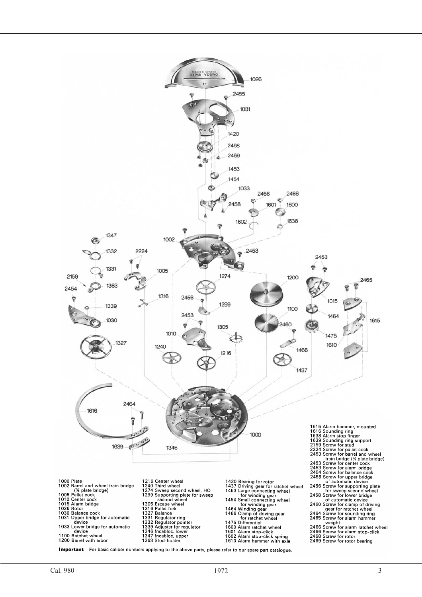

Important For basic caliber numbers applying to the above parts, please refer to our spare part catalogue.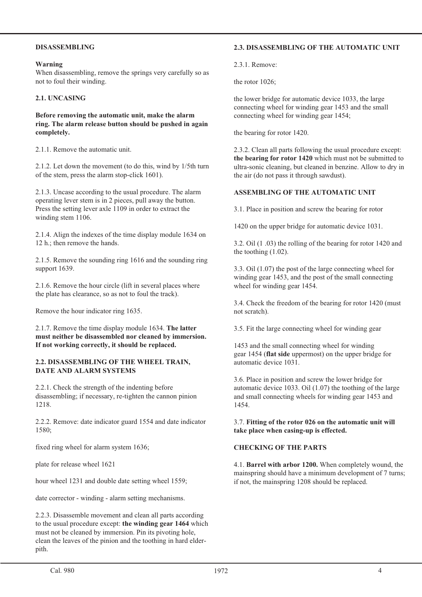#### **DISASSEMBLING**

#### **Warning**

When disassembling, remove the springs very carefully so as not to foul their winding.

#### **2.1. UNCASING**

**Before removing the automatic unit, make the alarm ring. The alarm release button should be pushed in again completely.**

2.1.1. Remove the automatic unit.

2.1.2. Let down the movement (to do this, wind by 1/5th turn of the stem, press the alarm stop-click 1601).

2.1.3. Uncase according to the usual procedure. The alarm operating lever stem is in 2 pieces, pull away the button. Press the setting lever axle 1109 in order to extract the winding stem 1106.

2.1.4. Align the indexes of the time display module 1634 on 12 h.; then remove the hands.

2.1.5. Remove the sounding ring 1616 and the sounding ring support 1639.

2.1.6. Remove the hour circle (lift in several places where the plate has clearance, so as not to foul the track).

Remove the hour indicator ring 1635.

2.1.7. Remove the time display module 1634. **The latter must neither be disassembled nor cleaned by immersion. If not working correctly, it should be replaced.**

#### **2.2. DISASSEMBLING OF THE WHEEL TRAIN, DATE AND ALARM SYSTEMS**

2.2.1. Check the strength of the indenting before disassembling; if necessary, re-tighten the cannon pinion 1218.

2.2.2. Remove: date indicator guard 1554 and date indicator 1580;

fixed ring wheel for alarm system 1636;

plate for release wheel 1621

hour wheel 1231 and double date setting wheel 1559;

date corrector - winding - alarm setting mechanisms.

2.2.3. Disassemble movement and clean all parts according to the usual procedure except: **the winding gear 1464** which must not be cleaned by immersion. Pin its pivoting hole, clean the leaves of the pinion and the toothing in hard elderpith.

#### **2.3. DISASSEMBLING OF THE AUTOMATIC UNIT**

2.3.1. Remove:

the rotor 1026;

the lower bridge for automatic device 1033, the large connecting wheel for winding gear 1453 and the small connecting wheel for winding gear 1454;

the bearing for rotor 1420.

2.3.2. Clean all parts following the usual procedure except: **the bearing for rotor 1420** which must not be submitted to ultra-sonic cleaning, but cleaned in benzine. Allow to dry in the air (do not pass it through sawdust).

#### **ASSEMBLING OF THE AUTOMATIC UNIT**

3.1. Place in position and screw the bearing for rotor

1420 on the upper bridge for automatic device 1031.

3.2. Oil (1 .03) the rolling of the bearing for rotor 1420 and the toothing (1.02).

3.3. Oil (1.07) the post of the large connecting wheel for winding gear 1453, and the post of the small connecting wheel for winding gear 1454.

3.4. Check the freedom of the bearing for rotor 1420 (must not scratch).

3.5. Fit the large connecting wheel for winding gear

1453 and the small connecting wheel for winding gear 1454 (**flat side** uppermost) on the upper bridge for automatic device 1031.

3.6. Place in position and screw the lower bridge for automatic device 1033. Oil (1.07) the toothing of the large and small connecting wheels for winding gear 1453 and 1454.

3.7. **Fitting of the rotor 026 on the automatic unit will take place when casing-up is effected.**

#### **CHECKING OF THE PARTS**

4.1. **Barrel with arbor 1200.** When completely wound, the mainspring should have a minimum development of 7 turns; if not, the mainspring 1208 should be replaced.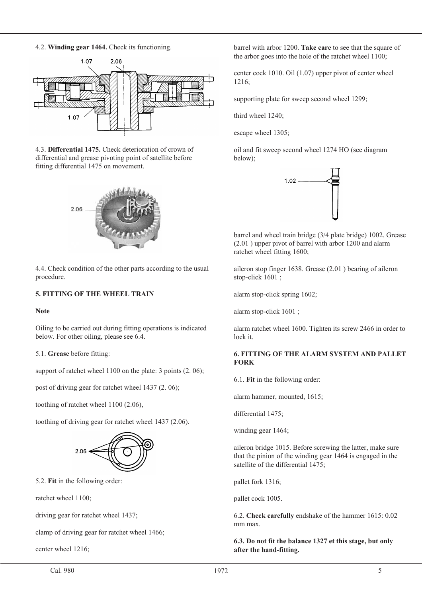4.2. **Winding gear 1464.** Check its functioning.



4.3. **Differential 1475.** Check deterioration of crown of differential and grease pivoting point of satellite before fitting differential 1475 on movement.



4.4. Check condition of the other parts according to the usual procedure.

#### **5. FITTING OF THE WHEEL TRAIN**

#### **Note**

Oiling to be carried out during fitting operations is indicated below. For other oiling, please see 6.4.

5.1. **Grease** before fitting:

support of ratchet wheel 1100 on the plate: 3 points (2. 06);

post of driving gear for ratchet wheel 1437 (2. 06);

toothing of ratchet wheel 1100 (2.06),

toothing of driving gear for ratchet wheel 1437 (2.06).



5.2. **Fit** in the following order:

ratchet wheel 1100;

driving gear for ratchet wheel 1437;

clamp of driving gear for ratchet wheel 1466;

center wheel 1216;

barrel with arbor 1200. **Take care** to see that the square of the arbor goes into the hole of the ratchet wheel 1100;

center cock 1010. Oil (1.07) upper pivot of center wheel 1216;

supporting plate for sweep second wheel 1299;

third wheel 1240;

escape wheel 1305;

oil and fit sweep second wheel 1274 HO (see diagram below);



barrel and wheel train bridge (3/4 plate bridge) 1002. Grease (2.01 ) upper pivot of barrel with arbor 1200 and alarm ratchet wheel fitting 1600;

aileron stop finger 1638. Grease (2.01 ) bearing of aileron stop-click 1601 ;

alarm stop-click spring 1602;

alarm stop-click 1601 ;

alarm ratchet wheel 1600. Tighten its screw 2466 in order to lock it.

#### **6. FITTING OF THE ALARM SYSTEM AND PALLET FORK**

6.1. **Fit** in the following order:

alarm hammer, mounted, 1615;

differential 1475;

winding gear 1464;

aileron bridge 1015. Before screwing the latter, make sure that the pinion of the winding gear 1464 is engaged in the satellite of the differential 1475;

pallet fork 1316;

pallet cock 1005.

6.2. **Check carefully** endshake of the hammer 1615: 0.02 mm max.

**6.3. Do not fit the balance 1327 et this stage, but only after the hand-fitting.**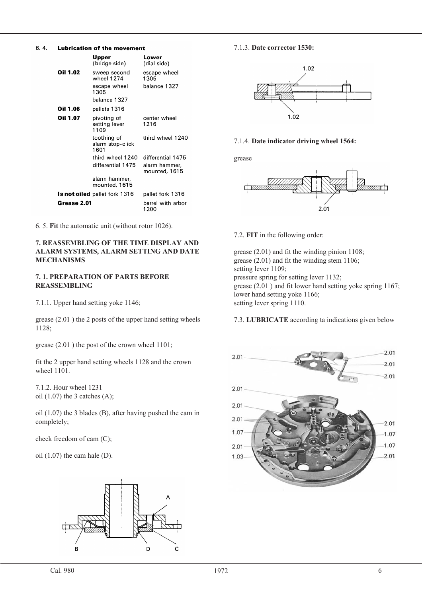#### 6.4. **Lubrication of the movement**

|                                      | Upper<br>(bridge side).                 | Lower<br>(dial side)           |
|--------------------------------------|-----------------------------------------|--------------------------------|
| Oil 1.02                             | sweep second<br>wheel 1274              | escape wheel<br>1305           |
|                                      | escape wheel<br>1305                    | balance 1327                   |
|                                      | balance 1327                            |                                |
| Oil 1.06                             | pallets 1316                            |                                |
| Oil 1.07                             | pivoting of<br>setting lever<br>1109    | center wheel<br>1216           |
|                                      | toothing of<br>alarm stop-click<br>1601 | third wheel 1240               |
|                                      | third wheel 1240                        | differential 1475              |
|                                      | differential 1475                       | alarm hammer.<br>mounted, 1615 |
|                                      | alarm hammer,<br>mounted, 1615          |                                |
| <b>Is not oiled</b> pallet fork 1316 |                                         | pallet fork 1316               |
| Grease 2.01                          |                                         | barrel with arbor<br>1200      |

6. 5. **Fit** the automatic unit (without rotor 1026).

#### **7. REASSEMBLING OF THE TIME DISPLAY AND ALARM SYSTEMS, ALARM SETTING AND DATE MECHANISMS**

#### **7. 1. PREPARATION OF PARTS BEFORE REASSEMBLING**

7.1.1. Upper hand setting yoke 1146;

grease (2.01 ) the 2 posts of the upper hand setting wheels 1128;

grease (2.01 ) the post of the crown wheel 1101;

fit the 2 upper hand setting wheels 1128 and the crown wheel 1101.

7.1.2. Hour wheel 1231 oil  $(1.07)$  the 3 catches  $(A)$ ;

oil (1.07) the 3 blades (B), after having pushed the cam in completely;

check freedom of cam (C);

oil (1.07) the cam hale (D).



#### 7.1.3. **Date corrector 1530:**



#### 7.1.4. **Date indicator driving wheel 1564:**

grease



7.2. **FIT** in the following order:

grease (2.01) and fit the winding pinion 1108; grease (2.01) and fit the winding stem 1106; setting lever 1109; pressure spring for setting lever 1132; grease (2.01) and fit lower hand setting yoke spring 1167; lower hand setting yoke 1166; setting lever spring 1110.

#### 7.3. **LUBRICATE** according ta indications given below

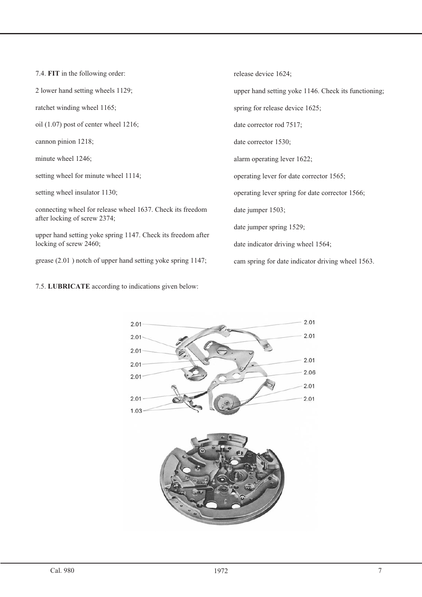7.4. **FIT** in the following order: 2 lower hand setting wheels 1129; ratchet winding wheel 1165; oil (1.07) post of center wheel 1216; cannon pinion 1218; minute wheel 1246; setting wheel for minute wheel 1114; setting wheel insulator 1130; connecting wheel for release wheel 1637. Check its freedom after locking of screw 2374; upper hand setting yoke spring 1147. Check its freedom after locking of screw 2460; grease (2.01 ) notch of upper hand setting yoke spring 1147; release device 1624; upper hand setting yoke 1146. Check its functioning; spring for release device 1625; date corrector rod 7517; date corrector 1530; alarm operating lever 1622; operating lever for date corrector 1565; operating lever spring for date corrector 1566; date jumper 1503; date jumper spring 1529; date indicator driving wheel 1564; cam spring for date indicator driving wheel 1563.

7.5. **LUBRICATE** according to indications given below: